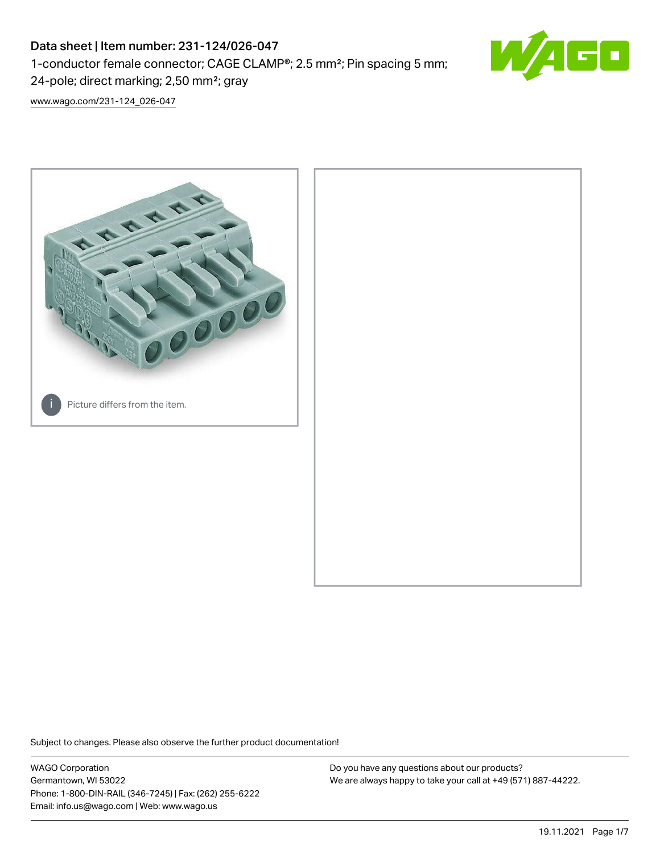# Data sheet | Item number: 231-124/026-047

1-conductor female connector; CAGE CLAMP®; 2.5 mm²; Pin spacing 5 mm;

24-pole; direct marking; 2,50 mm²; gray

[www.wago.com/231-124\\_026-047](http://www.wago.com/231-124_026-047)



Subject to changes. Please also observe the further product documentation!

WAGO Corporation Germantown, WI 53022 Phone: 1-800-DIN-RAIL (346-7245) | Fax: (262) 255-6222 Email: info.us@wago.com | Web: www.wago.us

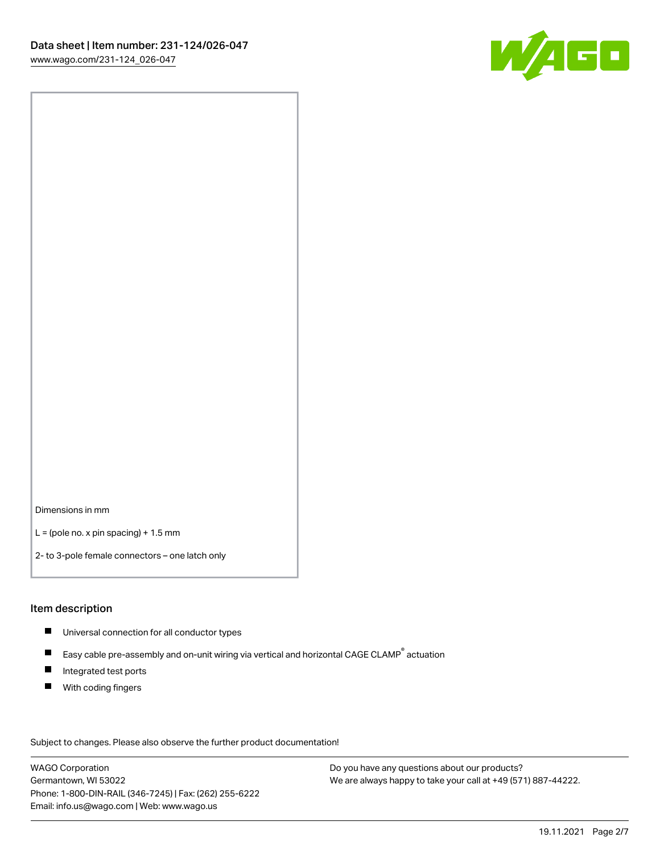

Dimensions in mm

 $L =$  (pole no. x pin spacing) + 1.5 mm

2- to 3-pole female connectors – one latch only

#### Item description

- **Universal connection for all conductor types**
- Easy cable pre-assembly and on-unit wiring via vertical and horizontal CAGE CLAMP<sup>®</sup> actuation  $\blacksquare$
- $\blacksquare$ Integrated test ports
- $\blacksquare$ With coding fingers

Subject to changes. Please also observe the further product documentation! Data

WAGO Corporation Germantown, WI 53022 Phone: 1-800-DIN-RAIL (346-7245) | Fax: (262) 255-6222 Email: info.us@wago.com | Web: www.wago.us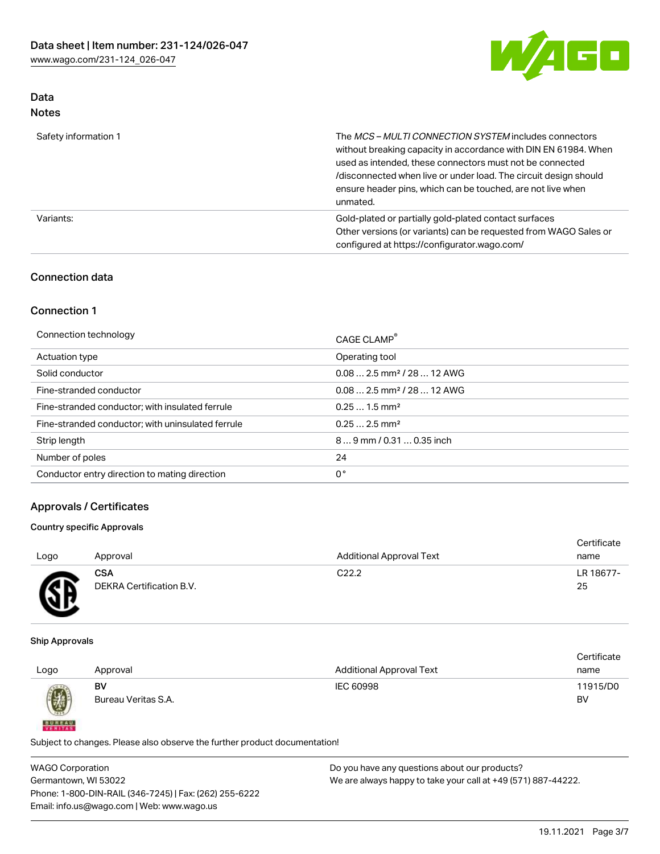

# Data Notes

| Safety information 1 | The MCS-MULTI CONNECTION SYSTEM includes connectors<br>without breaking capacity in accordance with DIN EN 61984. When<br>used as intended, these connectors must not be connected<br>/disconnected when live or under load. The circuit design should<br>ensure header pins, which can be touched, are not live when<br>unmated. |  |
|----------------------|-----------------------------------------------------------------------------------------------------------------------------------------------------------------------------------------------------------------------------------------------------------------------------------------------------------------------------------|--|
| Variants:            | Gold-plated or partially gold-plated contact surfaces<br>Other versions (or variants) can be requested from WAGO Sales or<br>configured at https://configurator.wago.com/                                                                                                                                                         |  |

# Connection data

# Connection 1

| Connection technology                             | CAGE CLAMP <sup>®</sup>                |
|---------------------------------------------------|----------------------------------------|
| Actuation type                                    | Operating tool                         |
| Solid conductor                                   | $0.082.5$ mm <sup>2</sup> / 28  12 AWG |
| Fine-stranded conductor                           | $0.082.5$ mm <sup>2</sup> / 28  12 AWG |
| Fine-stranded conductor; with insulated ferrule   | $0.251.5$ mm <sup>2</sup>              |
| Fine-stranded conductor; with uninsulated ferrule | $0.252.5$ mm <sup>2</sup>              |
| Strip length                                      | 89 mm / 0.31  0.35 inch                |
| Number of poles                                   | 24                                     |
| Conductor entry direction to mating direction     | 0°                                     |

# Approvals / Certificates

## Country specific Approvals

| Logo         | Approval                 | <b>Additional Approval Text</b> | Certificate<br>name |
|--------------|--------------------------|---------------------------------|---------------------|
| $\mathbb{R}$ | <b>CSA</b>               | C <sub>22.2</sub>               | LR 18677-           |
| ৺            | DEKRA Certification B.V. |                                 | 25                  |

#### Ship Approvals

**BUREAU** 

|      |                     |                                 | Certificate |
|------|---------------------|---------------------------------|-------------|
| Logo | Approval            | <b>Additional Approval Text</b> | name        |
|      | BV                  | IEC 60998                       | 11915/D0    |
| 0    | Bureau Veritas S.A. |                                 | BV          |

Subject to changes. Please also observe the further product documentation!

WAGO Corporation Germantown, WI 53022 Phone: 1-800-DIN-RAIL (346-7245) | Fax: (262) 255-6222 Email: info.us@wago.com | Web: www.wago.us Do you have any questions about our products? We are always happy to take your call at +49 (571) 887-44222.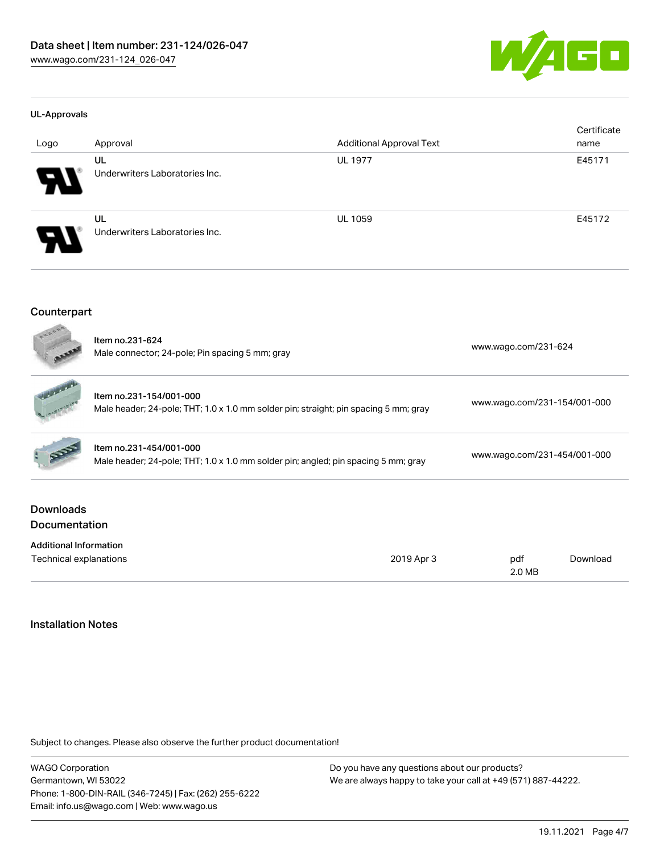

#### UL-Approvals

| Logo                  | Approval                             | <b>Additional Approval Text</b> | Certificate<br>name |
|-----------------------|--------------------------------------|---------------------------------|---------------------|
| 8                     | UL<br>Underwriters Laboratories Inc. | <b>UL 1977</b>                  | E45171              |
| $\boldsymbol{\theta}$ | UL<br>Underwriters Laboratories Inc. | <b>UL 1059</b>                  | E45172              |

### Counterpart

| LODGES                                   | Item no.231-624<br>Male connector; 24-pole; Pin spacing 5 mm; gray                                              |            | www.wago.com/231-624         |          |  |
|------------------------------------------|-----------------------------------------------------------------------------------------------------------------|------------|------------------------------|----------|--|
|                                          | Item no.231-154/001-000<br>Male header; 24-pole; THT; 1.0 x 1.0 mm solder pin; straight; pin spacing 5 mm; gray |            | www.wago.com/231-154/001-000 |          |  |
|                                          | Item no.231-454/001-000<br>Male header; 24-pole; THT; 1.0 x 1.0 mm solder pin; angled; pin spacing 5 mm; gray   |            | www.wago.com/231-454/001-000 |          |  |
| <b>Downloads</b><br><b>Documentation</b> |                                                                                                                 |            |                              |          |  |
| <b>Additional Information</b>            |                                                                                                                 |            |                              |          |  |
| Technical explanations                   |                                                                                                                 | 2019 Apr 3 | pdf<br>2.0 MB                | Download |  |

## Installation Notes

Subject to changes. Please also observe the further product documentation!

WAGO Corporation Germantown, WI 53022 Phone: 1-800-DIN-RAIL (346-7245) | Fax: (262) 255-6222 Email: info.us@wago.com | Web: www.wago.us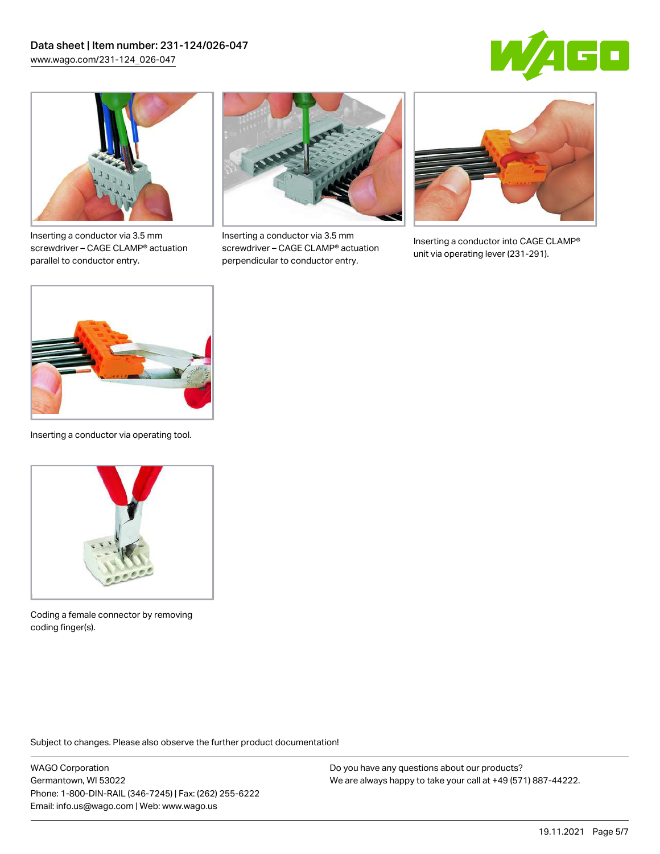



Inserting a conductor via 3.5 mm screwdriver – CAGE CLAMP® actuation parallel to conductor entry.



Inserting a conductor via 3.5 mm screwdriver – CAGE CLAMP® actuation perpendicular to conductor entry.



Inserting a conductor into CAGE CLAMP® unit via operating lever (231-291).



Inserting a conductor via operating tool.



Coding a female connector by removing coding finger(s).

Subject to changes. Please also observe the further product documentation!

WAGO Corporation Germantown, WI 53022 Phone: 1-800-DIN-RAIL (346-7245) | Fax: (262) 255-6222 Email: info.us@wago.com | Web: www.wago.us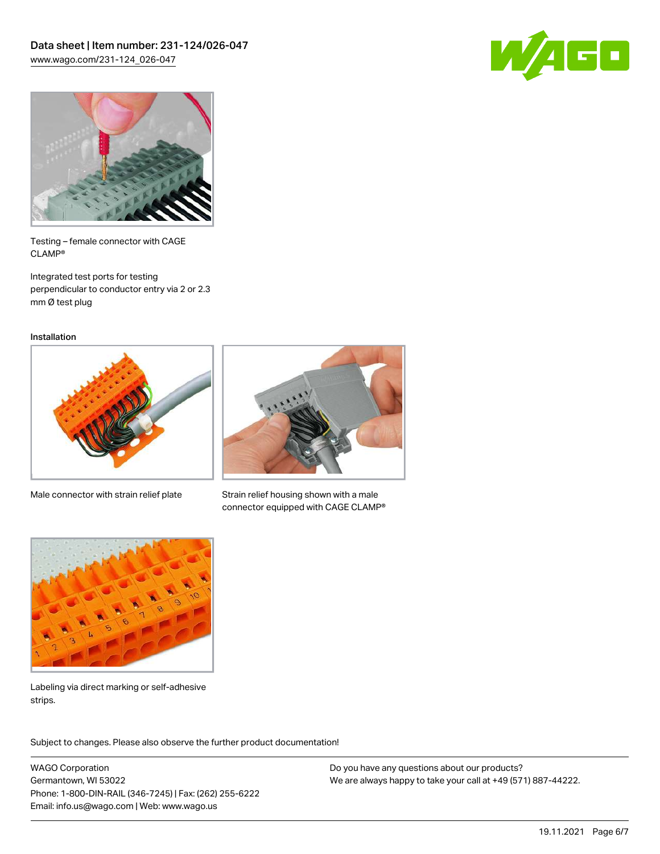



Testing – female connector with CAGE CLAMP®

Integrated test ports for testing perpendicular to conductor entry via 2 or 2.3 mm Ø test plug

Installation



Male connector with strain relief plate



Strain relief housing shown with a male connector equipped with CAGE CLAMP®



Labeling via direct marking or self-adhesive strips.

Subject to changes. Please also observe the further product documentation! Product family

WAGO Corporation Germantown, WI 53022 Phone: 1-800-DIN-RAIL (346-7245) | Fax: (262) 255-6222 Email: info.us@wago.com | Web: www.wago.us